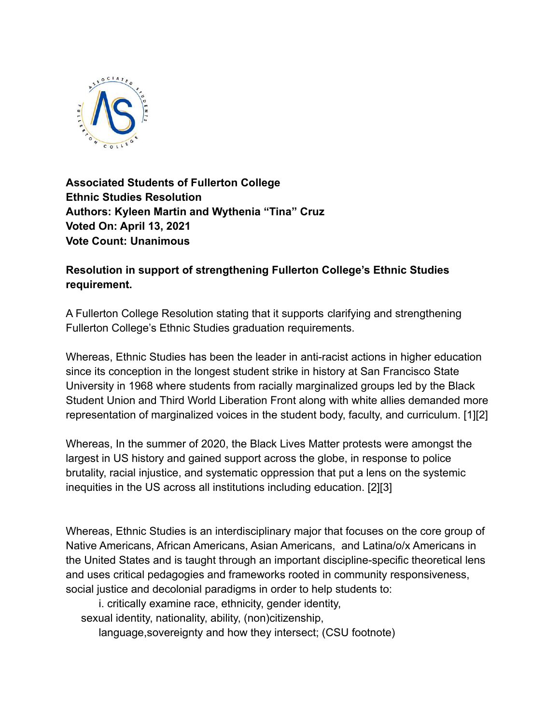

**Associated Students of Fullerton College Ethnic Studies Resolution Authors: Kyleen Martin and Wythenia "Tina" Cruz Voted On: April 13, 2021 Vote Count: Unanimous**

**Resolution in support of strengthening Fullerton College's Ethnic Studies requirement.**

A Fullerton College Resolution stating that it supports clarifying and strengthening Fullerton College's Ethnic Studies graduation requirements.

Whereas, Ethnic Studies has been the leader in anti-racist actions in higher education since its conception in the longest student strike in history at San Francisco State University in 1968 where students from racially marginalized groups led by the Black Student Union and Third World Liberation Front along with white allies demanded more representation of marginalized voices in the student body, faculty, and curriculum. [1][2]

Whereas, In the summer of 2020, the Black Lives Matter protests were amongst the largest in US history and gained support across the globe, in response to police brutality, racial injustice, and systematic oppression that put a lens on the systemic inequities in the US across all institutions including education. [2][3]

Whereas, Ethnic Studies is an interdisciplinary major that focuses on the core group of Native Americans, African Americans, Asian Americans, and Latina/o/x Americans in the United States and is taught through an important discipline-specific theoretical lens and uses critical pedagogies and frameworks rooted in community responsiveness, social justice and decolonial paradigms in order to help students to:

i. critically examine race, ethnicity, gender identity,

sexual identity, nationality, ability, (non)citizenship,

language,sovereignty and how they intersect; (CSU footnote)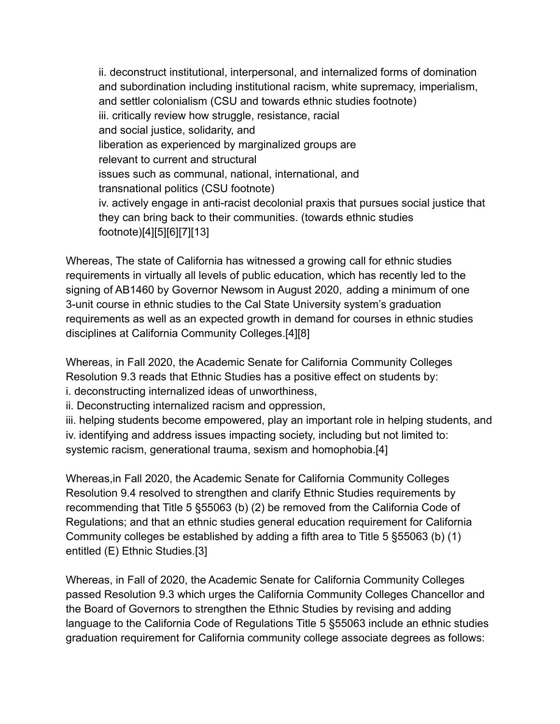ii. deconstruct institutional, interpersonal, and internalized forms of domination and subordination including institutional racism, white supremacy, imperialism, and settler colonialism (CSU and towards ethnic studies footnote) iii. critically review how struggle, resistance, racial and social justice, solidarity, and liberation as experienced by marginalized groups are relevant to current and structural issues such as communal, national, international, and transnational politics (CSU footnote) iv. actively engage in anti-racist decolonial praxis that pursues social justice that they can bring back to their communities. (towards ethnic studies footnote)[4][5][6][7][13]

Whereas, The state of California has witnessed a growing call for ethnic studies requirements in virtually all levels of public education, which has recently led to the signing of AB1460 by Governor Newsom in August 2020, adding a minimum of one 3-unit course in ethnic studies to the Cal State University system's graduation requirements as well as an expected growth in demand for courses in ethnic studies disciplines at California Community Colleges.[4][8]

Whereas, in Fall 2020, the Academic Senate for California Community Colleges Resolution 9.3 reads that Ethnic Studies has a positive effect on students by: i. deconstructing internalized ideas of unworthiness,

ii. Deconstructing internalized racism and oppression,

iii. helping students become empowered, play an important role in helping students, and iv. identifying and address issues impacting society, including but not limited to: systemic racism, generational trauma, sexism and homophobia.[4]

Whereas,in Fall 2020, the Academic Senate for California Community Colleges Resolution 9.4 resolved to strengthen and clarify Ethnic Studies requirements by recommending that Title 5 §55063 (b) (2) be removed from the California Code of Regulations; and that an ethnic studies general education requirement for California Community colleges be established by adding a fifth area to Title 5 §55063 (b) (1) entitled (E) Ethnic Studies.[3]

Whereas, in Fall of 2020, the Academic Senate for California Community Colleges passed Resolution 9.3 which urges the California Community Colleges Chancellor and the Board of Governors to strengthen the Ethnic Studies by revising and adding language to the California Code of Regulations Title 5 §55063 include an ethnic studies graduation requirement for California community college associate degrees as follows: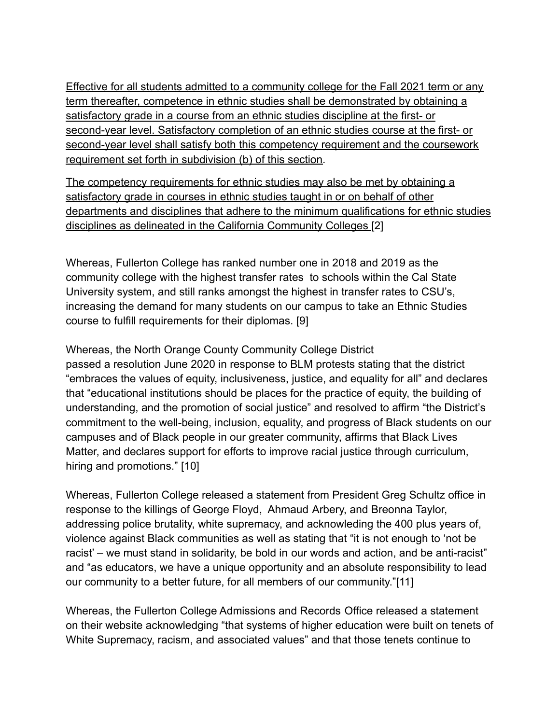Effective for all students admitted to a community college for the Fall 2021 term or any term thereafter, competence in ethnic studies shall be demonstrated by obtaining a satisfactory grade in a course from an ethnic studies discipline at the first- or second-year level. Satisfactory completion of an ethnic studies course at the first- or second-year level shall satisfy both this competency requirement and the coursework requirement set forth in subdivision (b) of this section.

The competency requirements for ethnic studies may also be met by obtaining a satisfactory grade in courses in ethnic studies taught in or on behalf of other departments and disciplines that adhere to the minimum qualifications for ethnic studies disciplines as delineated in the California Community Colleges [2]

Whereas, Fullerton College has ranked number one in 2018 and 2019 as the community college with the highest transfer rates to schools within the Cal State University system, and still ranks amongst the highest in transfer rates to CSU's, increasing the demand for many students on our campus to take an Ethnic Studies course to fulfill requirements for their diplomas. [9]

Whereas, the North Orange County Community College District

passed a resolution June 2020 in response to BLM protests stating that the district "embraces the values of equity, inclusiveness, justice, and equality for all" and declares that "educational institutions should be places for the practice of equity, the building of understanding, and the promotion of social justice" and resolved to affirm "the District's commitment to the well-being, inclusion, equality, and progress of Black students on our campuses and of Black people in our greater community, affirms that Black Lives Matter, and declares support for efforts to improve racial justice through curriculum, hiring and promotions." [10]

Whereas, Fullerton College released a statement from President Greg Schultz office in response to the killings of George Floyd, Ahmaud Arbery, and Breonna Taylor, addressing police brutality, white supremacy, and acknowleding the 400 plus years of, violence against Black communities as well as stating that "it is not enough to 'not be racist' – we must stand in solidarity, be bold in our words and action, and be anti-racist" and "as educators, we have a unique opportunity and an absolute responsibility to lead our community to a better future, for all members of our community."[11]

Whereas, the Fullerton College Admissions and Records Office released a statement on their website acknowledging "that systems of higher education were built on tenets of White Supremacy, racism, and associated values" and that those tenets continue to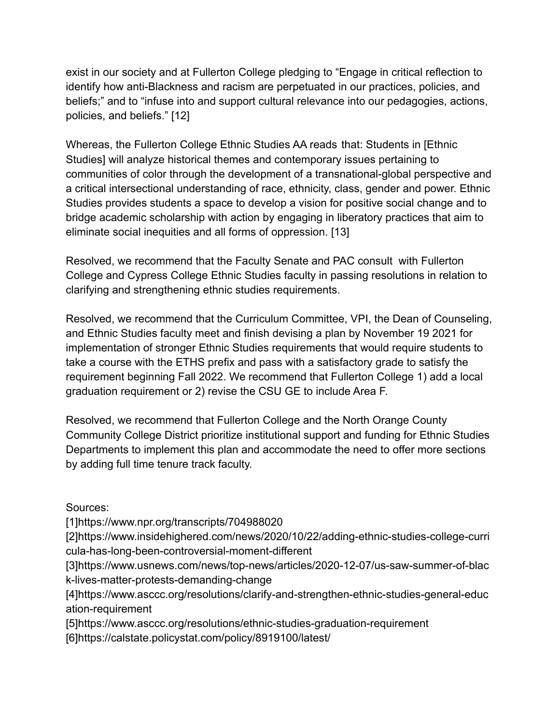exist in our society and at Fullerton College pledging to "Engage in critical reflection to identify how anti-Blackness and racism are perpetuated in our practices, policies, and beliefs;" and to "infuse into and support cultural relevance into our pedagogies, actions, policies, and beliefs." [12]

Whereas, the Fullerton College Ethnic Studies AA reads that: Students in [Ethnic Studies] will analyze historical themes and contemporary issues pertaining to communities of color through the development of a transnational-global perspective and a critical intersectional understanding of race, ethnicity, class, gender and power. Ethnic Studies provides students a space to develop a vision for positive social change and to bridge academic scholarship with action by engaging in liberatory practices that aim to eliminate social inequities and all forms of oppression. [13]

Resolved, we recommend that the Faculty Senate and PAC consult with Fullerton College and Cypress College Ethnic Studies faculty in passing resolutions in relation to clarifying and strengthening ethnic studies requirements.

Resolved, we recommend that the Curriculum Committee, VPI, the Dean of Counseling, and Ethnic Studies faculty meet and finish devising a plan by November 19 2021 for implementation of stronger Ethnic Studies requirements that would require students to take a course with the ETHS prefix and pass with a satisfactory grade to satisfy the requirement beginning Fall 2022. We recommend that Fullerton College 1) add a local graduation requirement or 2) revise the CSU GE to include Area F.

Resolved, we recommend that Fullerton College and the North Orange County Community College District prioritize institutional support and funding for Ethnic Studies Departments to implement this plan and accommodate the need to offer more sections by adding full time tenure track faculty.

Sources:

[1]https://www.npr.org/transcripts/704988020

[2]https://www.insidehighered.com/news/2020/10/22/adding-ethnic-studies-college-curri cula-has-long-been-controversial-moment-different

[3]https://www.usnews.com/news/top-news/articles/2020-12-07/us-saw-summer-of-blac k-lives-matter-protests-demanding-change

[4]https://www.asccc.org/resolutions/clarify-and-strengthen-ethnic-studies-general-educ ation-requirement

[5]https://www.asccc.org/resolutions/ethnic-studies-graduation-requirement [6]https://calstate.policystat.com/policy/8919100/latest/